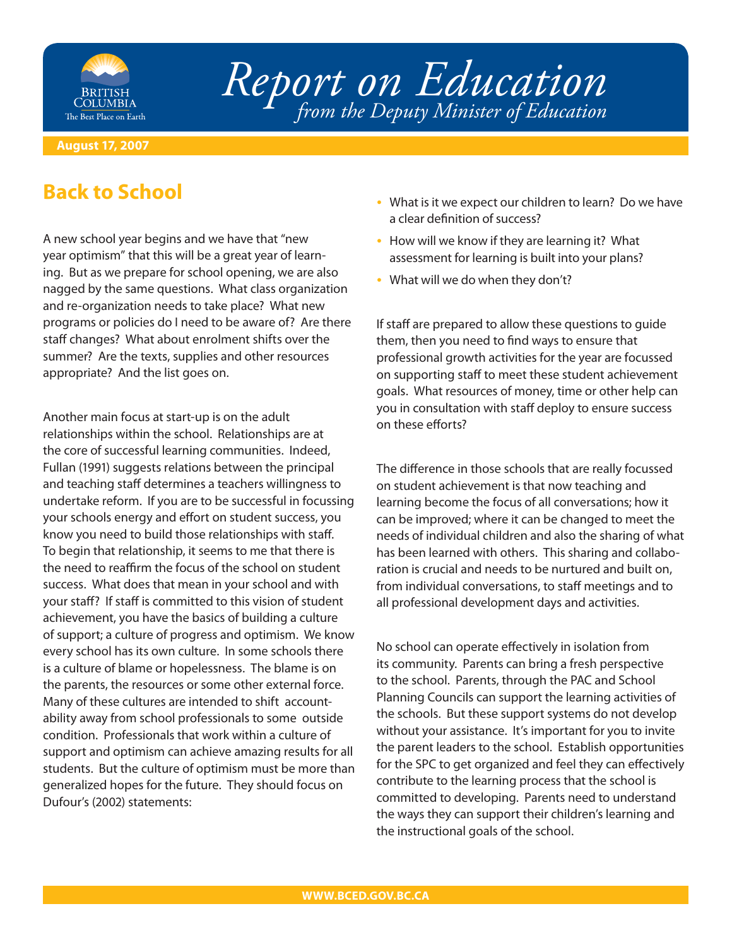

## *Report on Education from the Deputy Minister of Education*

## **August 17, 2007**

## **Back to School**

A new school year begins and we have that "new year optimism" that this will be a great year of learning. But as we prepare for school opening, we are also nagged by the same questions. What class organization and re-organization needs to take place? What new programs or policies do I need to be aware of? Are there staff changes? What about enrolment shifts over the summer? Are the texts, supplies and other resources appropriate? And the list goes on.

Another main focus at start-up is on the adult relationships within the school. Relationships are at the core of successful learning communities. Indeed, Fullan (1991) suggests relations between the principal and teaching staff determines a teachers willingness to undertake reform. If you are to be successful in focussing your schools energy and effort on student success, you know you need to build those relationships with staff. To begin that relationship, it seems to me that there is the need to reaffirm the focus of the school on student success. What does that mean in your school and with your staff? If staff is committed to this vision of student achievement, you have the basics of building a culture of support; a culture of progress and optimism. We know every school has its own culture. In some schools there is a culture of blame or hopelessness. The blame is on the parents, the resources or some other external force. Many of these cultures are intended to shift accountability away from school professionals to some outside condition. Professionals that work within a culture of support and optimism can achieve amazing results for all students. But the culture of optimism must be more than generalized hopes for the future. They should focus on Dufour's (2002) statements:

- What is it we expect our children to learn? Do we have a clear definition of success?
- How will we know if they are learning it? What assessment for learning is built into your plans?
- What will we do when they don't?

If staff are prepared to allow these questions to quide them, then you need to find ways to ensure that professional growth activities for the year are focussed on supporting staff to meet these student achievement goals. What resources of money, time or other help can you in consultation with staff deploy to ensure success on these efforts?

The difference in those schools that are really focussed on student achievement is that now teaching and learning become the focus of all conversations; how it can be improved; where it can be changed to meet the needs of individual children and also the sharing of what has been learned with others. This sharing and collaboration is crucial and needs to be nurtured and built on, from individual conversations, to staff meetings and to all professional development days and activities.

No school can operate effectively in isolation from its community. Parents can bring a fresh perspective to the school. Parents, through the PAC and School Planning Councils can support the learning activities of the schools. But these support systems do not develop without your assistance. It's important for you to invite the parent leaders to the school. Establish opportunities for the SPC to get organized and feel they can effectively contribute to the learning process that the school is committed to developing. Parents need to understand the ways they can support their children's learning and the instructional goals of the school.